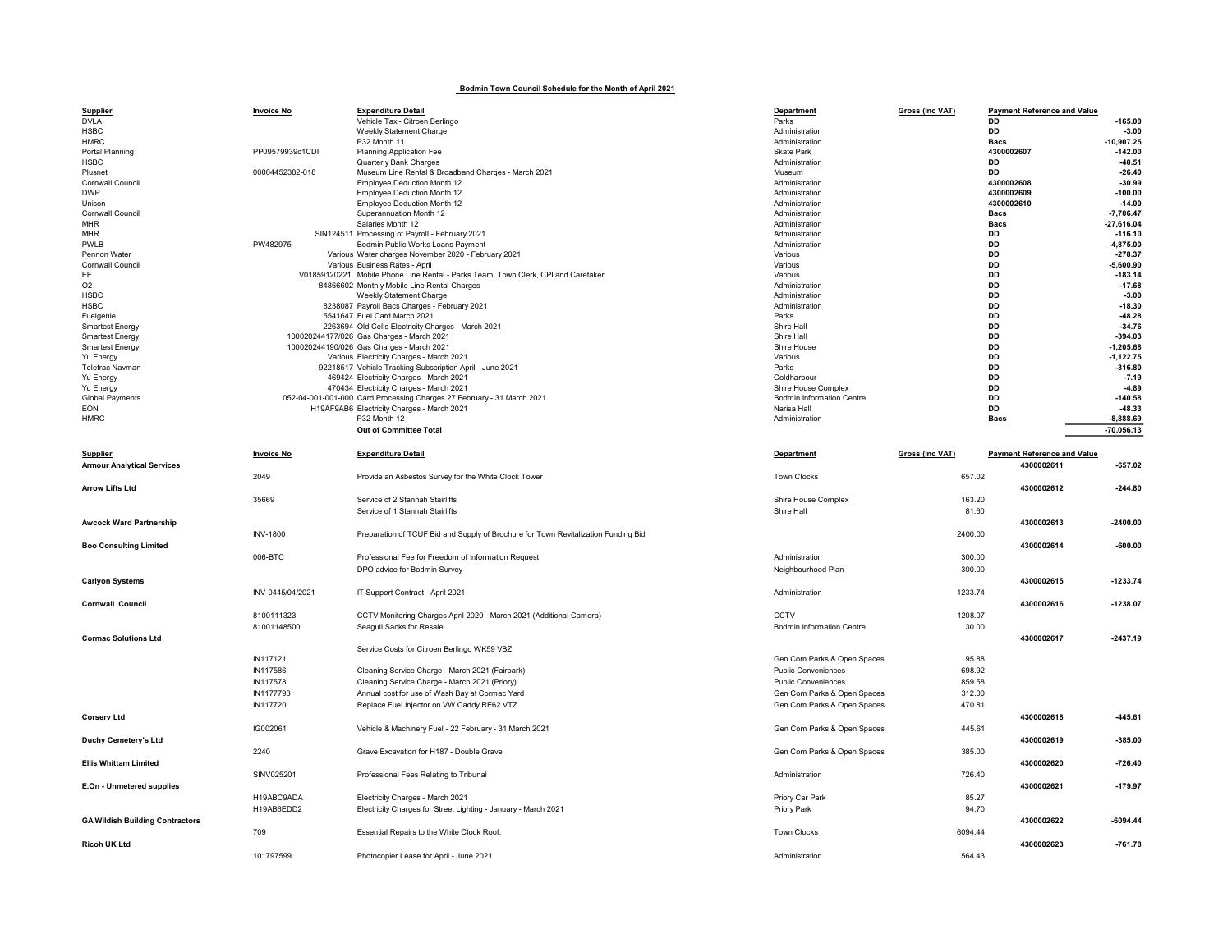## Bodmin Town Council Schedule for the Month of April 2021

| Supplier                               | <b>Invoice No</b> | <b>Expenditure Detail</b>                                                          | Department                       | <b>Gross (Inc VAT)</b> | <b>Payment Reference and Value</b> |              |
|----------------------------------------|-------------------|------------------------------------------------------------------------------------|----------------------------------|------------------------|------------------------------------|--------------|
| <b>DVLA</b>                            |                   | Vehicle Tax - Citroen Berlingo                                                     | Parks                            |                        | DD                                 | $-165.00$    |
| <b>HSBC</b>                            |                   | Weekly Statement Charge                                                            | Administration                   |                        | DD                                 | $-3.00$      |
| <b>HMRC</b>                            |                   | P32 Month 11                                                                       | Administration                   |                        | <b>Bacs</b>                        | $-10,907.25$ |
| Portal Planning                        | PP09579939c1CDI   | Planning Application Fee                                                           | Skate Park                       |                        | 4300002607                         | $-142.00$    |
| <b>HSBC</b>                            |                   | Quarterly Bank Charges                                                             | Administration                   |                        | <b>DD</b>                          | $-40.51$     |
| Plusnet                                | 00004452382-018   | Museum Line Rental & Broadband Charges - March 2021                                | Museum                           |                        | <b>DD</b>                          | $-26.40$     |
| Cornwall Council                       |                   | Employee Deduction Month 12                                                        | Administration                   |                        | 4300002608                         | $-30.99$     |
| <b>DWP</b>                             |                   | Employee Deduction Month 12                                                        | Administration                   |                        | 4300002609                         | $-100.00$    |
| Unison                                 |                   | Employee Deduction Month 12                                                        | Administration                   |                        | 4300002610                         | $-14.00$     |
| Cornwall Council                       |                   | Superannuation Month 12                                                            | Administration                   |                        | <b>Bacs</b>                        | $-7,706.47$  |
| <b>MHR</b>                             |                   | Salaries Month 12                                                                  | Administration                   |                        | <b>Bacs</b>                        | $-27,616.04$ |
| <b>MHR</b>                             |                   | SIN124511 Processing of Payroll - February 2021                                    | Administration                   |                        | DD                                 | $-116.10$    |
| PWLB                                   | PW482975          | Bodmin Public Works Loans Payment                                                  | Administration                   |                        | DD                                 | $-4,875.00$  |
| Pennon Water                           |                   | Various Water charges November 2020 - February 2021                                | Various                          |                        | <b>DD</b>                          | $-278.37$    |
| Cornwall Council                       |                   | Various Business Rates - April                                                     | Various                          |                        | <b>DD</b>                          | $-5.600.90$  |
| EE                                     |                   | V01859120221 Mobile Phone Line Rental - Parks Team, Town Clerk, CPI and Caretaker  | Various                          |                        | DD                                 | $-183.14$    |
| O <sub>2</sub>                         |                   | 84866602 Monthly Mobile Line Rental Charges                                        | Administration                   |                        | <b>DD</b>                          | $-17.68$     |
| <b>HSBC</b>                            |                   | Weekly Statement Charge                                                            | Administration                   |                        | <b>DD</b>                          | $-3.00$      |
| <b>HSBC</b>                            |                   | 8238087 Payroll Bacs Charges - February 2021                                       | Administration                   |                        | <b>DD</b>                          | $-18.30$     |
| Fuelgenie                              |                   | 5541647 Fuel Card March 2021                                                       | Parks                            |                        | DD                                 | $-48.28$     |
| <b>Smartest Energy</b>                 |                   | 2263694 Old Cells Electricity Charges - March 2021                                 | Shire Hal                        |                        | <b>DD</b>                          | $-34.76$     |
| <b>Smartest Energy</b>                 |                   | 100020244177/026 Gas Charges - March 2021                                          | Shire Hall                       |                        | DD                                 | $-394.03$    |
| <b>Smartest Energy</b>                 |                   | 100020244190/026 Gas Charges - March 2021                                          | Shire House                      |                        | <b>DD</b>                          | $-1,205.68$  |
| Yu Energy                              |                   | Various Electricity Charges - March 2021                                           | Various                          |                        | DD                                 | $-1, 122.75$ |
| Teletrac Navman                        |                   | 92218517 Vehicle Tracking Subscription April - June 2021                           | Parks                            |                        | <b>DD</b>                          | $-316.80$    |
| Yu Energy                              |                   | 469424 Electricity Charges - March 2021                                            | Coldharbour                      |                        | <b>DD</b>                          | $-7.19$      |
| Yu Energy                              |                   | 470434 Electricity Charges - March 2021                                            | Shire House Complex              |                        | DD                                 | $-4.89$      |
| <b>Global Payments</b>                 |                   | 052-04-001-001-000 Card Processing Charges 27 February - 31 March 2021             | <b>Bodmin Information Centre</b> |                        | DD                                 | $-140.58$    |
| <b>EON</b>                             |                   | H19AF9AB6 Electricity Charges - March 2021                                         | Narisa Hall                      |                        | <b>DD</b>                          | $-48.33$     |
| <b>HMRC</b>                            |                   | P32 Month 12                                                                       | Administration                   |                        | <b>Bacs</b>                        | $-8,888.69$  |
|                                        |                   | Out of Committee Total                                                             |                                  |                        |                                    | $-70,056.13$ |
|                                        |                   |                                                                                    |                                  |                        |                                    |              |
|                                        |                   |                                                                                    |                                  |                        |                                    |              |
| <b>Supplier</b>                        | <b>Invoice No</b> | <b>Expenditure Detail</b>                                                          | Department                       | Gross (Inc VAT)        | <b>Payment Reference and Value</b> |              |
| <b>Armour Analytical Services</b>      |                   |                                                                                    |                                  |                        | 4300002611                         | $-657.02$    |
|                                        | 2049              | Provide an Asbestos Survey for the White Clock Tower                               | <b>Town Clocks</b>               | 657.02                 |                                    |              |
| <b>Arrow Lifts Ltd</b>                 |                   |                                                                                    |                                  |                        | 4300002612                         | $-244.80$    |
|                                        | 35669             | Service of 2 Stannah Stairlifts                                                    | Shire House Complex              | 163.20                 |                                    |              |
|                                        |                   | Service of 1 Stannah Stairlifts                                                    | Shire Hall                       | 81.60                  |                                    |              |
|                                        |                   |                                                                                    |                                  |                        | 4300002613                         | $-2400.00$   |
| <b>Awcock Ward Partnership</b>         |                   |                                                                                    |                                  |                        |                                    |              |
|                                        | <b>INV-1800</b>   | Preparation of TCUF Bid and Supply of Brochure for Town Revitalization Funding Bid |                                  | 2400.00                |                                    |              |
| <b>Boo Consulting Limited</b>          |                   |                                                                                    |                                  |                        | 4300002614                         | $-600.00$    |
|                                        | 006-BTC           | Professional Fee for Freedom of Information Request                                | Administration                   | 300.00                 |                                    |              |
|                                        |                   | DPO advice for Bodmin Survey                                                       | Neighbourhood Plan               | 300.00                 |                                    |              |
| <b>Carlyon Systems</b>                 |                   |                                                                                    |                                  |                        | 4300002615                         | $-1233.74$   |
|                                        | INV-0445/04/2021  | IT Support Contract - April 2021                                                   | Administration                   | 1233.74                |                                    |              |
| <b>Cornwall Council</b>                |                   |                                                                                    |                                  |                        | 4300002616                         | $-1238.07$   |
|                                        |                   |                                                                                    |                                  |                        |                                    |              |
|                                        | 8100111323        | CCTV Monitoring Charges April 2020 - March 2021 (Additional Camera)                | CCTV                             | 1208.07                |                                    |              |
|                                        | 81001148500       | Seagull Sacks for Resale                                                           | <b>Bodmin Information Centre</b> | 30.00                  |                                    |              |
| <b>Cormac Solutions Ltd</b>            |                   |                                                                                    |                                  |                        | 4300002617                         | $-2437.19$   |
|                                        |                   | Service Costs for Citroen Berlingo WK59 VBZ                                        |                                  |                        |                                    |              |
|                                        | IN117121          |                                                                                    | Gen Com Parks & Open Spaces      | 95.88                  |                                    |              |
|                                        | IN117586          | Cleaning Service Charge - March 2021 (Fairpark)                                    | <b>Public Conveniences</b>       | 698.92                 |                                    |              |
|                                        | IN117578          | Cleaning Service Charge - March 2021 (Priory)                                      | <b>Public Conveniences</b>       | 859.58                 |                                    |              |
|                                        | IN1177793         | Annual cost for use of Wash Bay at Cormac Yard                                     | Gen Com Parks & Open Spaces      | 312.00                 |                                    |              |
|                                        | IN117720          | Replace Fuel Injector on VW Caddy RE62 VTZ                                         | Gen Com Parks & Open Spaces      | 470.81                 |                                    |              |
| <b>Corserv Ltd</b>                     |                   |                                                                                    |                                  |                        | 4300002618                         | $-445.61$    |
|                                        |                   |                                                                                    |                                  |                        |                                    |              |
|                                        | IG002061          | Vehicle & Machinery Fuel - 22 February - 31 March 2021                             | Gen Com Parks & Open Spaces      | 445.61                 |                                    |              |
| <b>Duchy Cemetery's Ltd</b>            |                   |                                                                                    |                                  |                        | 4300002619                         | $-385.00$    |
|                                        | 2240              | Grave Excavation for H187 - Double Grave                                           | Gen Com Parks & Open Spaces      | 385.00                 |                                    |              |
| <b>Ellis Whittam Limited</b>           |                   |                                                                                    |                                  |                        | 4300002620                         | $-726.40$    |
|                                        | SINV025201        | Professional Fees Relating to Tribunal                                             | Administration                   | 726.40                 |                                    |              |
| E.On - Unmetered supplies              |                   |                                                                                    |                                  |                        | 4300002621                         | $-179.97$    |
|                                        | H19ABC9ADA        | Electricity Charges - March 2021                                                   | Priory Car Park                  | 85.27                  |                                    |              |
|                                        |                   |                                                                                    |                                  |                        |                                    |              |
|                                        | H19AB6EDD2        | Electricity Charges for Street Lighting - January - March 2021                     | Priory Park                      | 94.70                  |                                    |              |
| <b>GA Wildish Building Contractors</b> |                   |                                                                                    |                                  |                        | 4300002622                         | $-6094.44$   |
|                                        | 709               | Essential Repairs to the White Clock Roof.                                         | <b>Town Clocks</b>               | 6094.44                |                                    |              |
| Ricoh UK Ltd                           |                   |                                                                                    |                                  |                        | 4300002623                         | $-761.78$    |
|                                        | 101797599         | Photocopier Lease for April - June 2021                                            | Administration                   | 564.43                 |                                    |              |